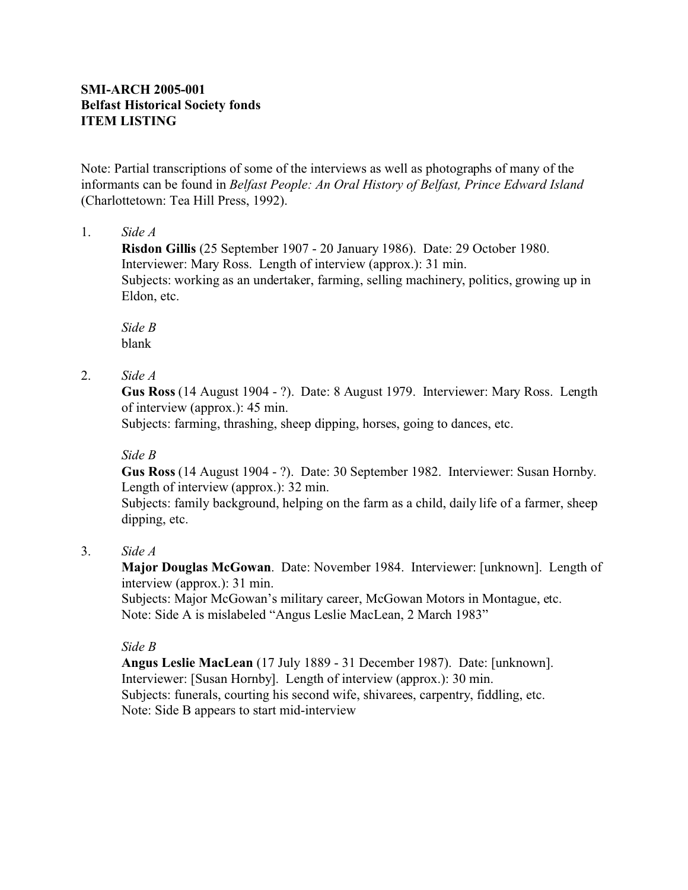# **SMI-ARCH 2005-001 Belfast Historical Society fonds ITEM LISTING**

Note: Partial transcriptions of some of the interviews as well as photographs of many of the informants can be found in *Belfast People: An Oral History of Belfast, Prince Edward Island* (Charlottetown: Tea Hill Press, 1992).

### 1. *Side A*

**Risdon Gillis** (25 September 1907 - 20 January 1986). Date: 29 October 1980. Interviewer: Mary Ross. Length of interview (approx.): 31 min. Subjects: working as an undertaker, farming, selling machinery, politics, growing up in Eldon, etc.

*Side B* blank

## 2. *Side A*

**Gus Ross** (14 August 1904 - ?). Date: 8 August 1979. Interviewer: Mary Ross. Length of interview (approx.): 45 min.

Subjects: farming, thrashing, sheep dipping, horses, going to dances, etc.

## *Side B*

**Gus Ross** (14 August 1904 - ?). Date: 30 September 1982. Interviewer: Susan Hornby. Length of interview (approx.): 32 min.

Subjects: family background, helping on the farm as a child, daily life of a farmer, sheep dipping, etc.

## 3. *Side A*

**Major Douglas McGowan**. Date: November 1984. Interviewer: [unknown]. Length of interview (approx.): 31 min.

Subjects: Major McGowan's military career, McGowan Motors in Montague, etc. Note: Side A is mislabeled "Angus Leslie MacLean, 2 March 1983"

## *Side B*

**Angus Leslie MacLean** (17 July 1889 - 31 December 1987). Date: [unknown]. Interviewer: [Susan Hornby]. Length of interview (approx.): 30 min. Subjects: funerals, courting his second wife, shivarees, carpentry, fiddling, etc. Note: Side B appears to start mid-interview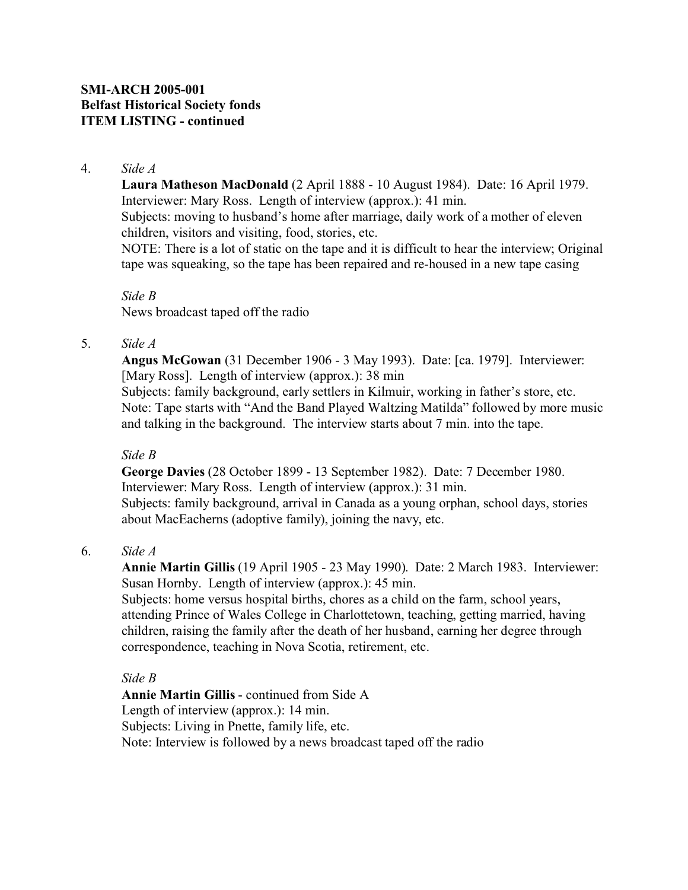**Laura Matheson MacDonald** (2 April 1888 - 10 August 1984). Date: 16 April 1979. Interviewer: Mary Ross. Length of interview (approx.): 41 min. Subjects: moving to husband's home after marriage, daily work of a mother of eleven children, visitors and visiting, food, stories, etc.

NOTE: There is a lot of static on the tape and it is difficult to hear the interview; Original tape was squeaking, so the tape has been repaired and re-housed in a new tape casing

*Side B* News broadcast taped off the radio

### 5. *Side A*

**Angus McGowan** (31 December 1906 - 3 May 1993). Date: [ca. 1979]. Interviewer: [Mary Ross]. Length of interview (approx.): 38 min

Subjects: family background, early settlers in Kilmuir, working in father's store, etc. Note: Tape starts with "And the Band Played Waltzing Matilda" followed by more music and talking in the background. The interview starts about 7 min. into the tape.

## *Side B*

**George Davies** (28 October 1899 - 13 September 1982). Date: 7 December 1980. Interviewer: Mary Ross. Length of interview (approx.): 31 min. Subjects: family background, arrival in Canada as a young orphan, school days, stories about MacEacherns (adoptive family), joining the navy, etc.

#### 6. *Side A*

**Annie Martin Gillis** (19 April 1905 - 23 May 1990). Date: 2 March 1983. Interviewer: Susan Hornby. Length of interview (approx.): 45 min.

Subjects: home versus hospital births, chores as a child on the farm, school years, attending Prince of Wales College in Charlottetown, teaching, getting married, having children, raising the family after the death of her husband, earning her degree through correspondence, teaching in Nova Scotia, retirement, etc.

#### *Side B*

**Annie Martin Gillis** - continued from Side A Length of interview (approx.): 14 min. Subjects: Living in Pnette, family life, etc. Note: Interview is followed by a news broadcast taped off the radio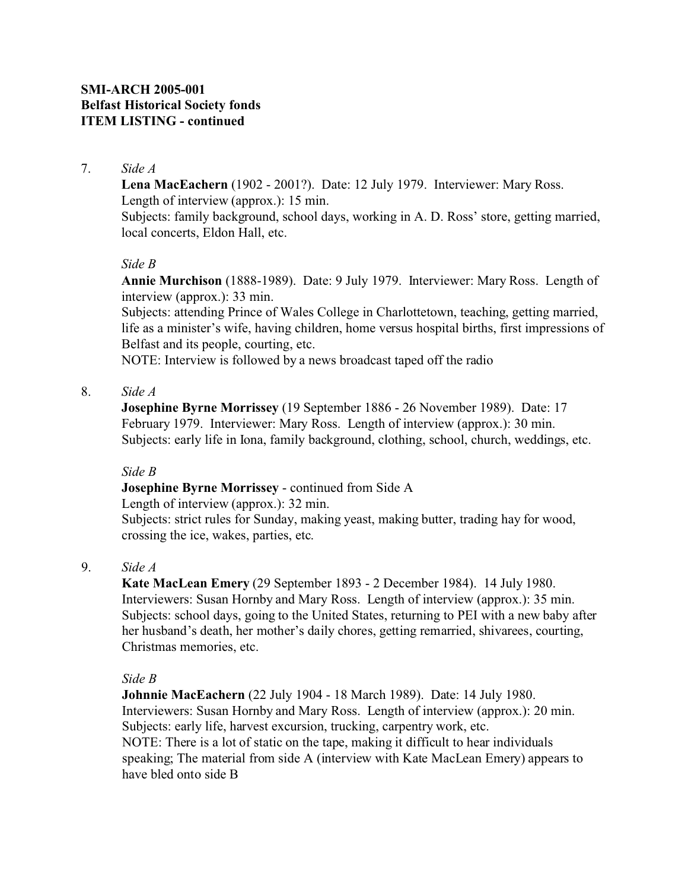local concerts, Eldon Hall, etc.

### 7. *Side A*

**Lena MacEachern** (1902 - 2001?). Date: 12 July 1979. Interviewer: Mary Ross. Length of interview (approx.): 15 min. Subjects: family background, school days, working in A. D. Ross' store, getting married,

### *Side B*

**Annie Murchison** (1888-1989). Date: 9 July 1979. Interviewer: Mary Ross. Length of interview (approx.): 33 min.

Subjects: attending Prince of Wales College in Charlottetown, teaching, getting married, life as a minister's wife, having children, home versus hospital births, first impressions of Belfast and its people, courting, etc.

NOTE: Interview is followed by a news broadcast taped off the radio

### 8. *Side A*

**Josephine Byrne Morrissey** (19 September 1886 - 26 November 1989). Date: 17 February 1979. Interviewer: Mary Ross. Length of interview (approx.): 30 min. Subjects: early life in Iona, family background, clothing, school, church, weddings, etc.

#### *Side B*

## **Josephine Byrne Morrissey** - continued from Side A

Length of interview (approx.): 32 min.

Subjects: strict rules for Sunday, making yeast, making butter, trading hay for wood, crossing the ice, wakes, parties, etc.

## 9. *Side A*

**Kate MacLean Emery** (29 September 1893 - 2 December 1984). 14 July 1980. Interviewers: Susan Hornby and Mary Ross. Length of interview (approx.): 35 min. Subjects: school days, going to the United States, returning to PEI with a new baby after her husband's death, her mother's daily chores, getting remarried, shivarees, courting, Christmas memories, etc.

#### *Side B*

**Johnnie MacEachern** (22 July 1904 - 18 March 1989). Date: 14 July 1980. Interviewers: Susan Hornby and Mary Ross. Length of interview (approx.): 20 min. Subjects: early life, harvest excursion, trucking, carpentry work, etc. NOTE: There is a lot of static on the tape, making it difficult to hear individuals speaking; The material from side A (interview with Kate MacLean Emery) appears to have bled onto side B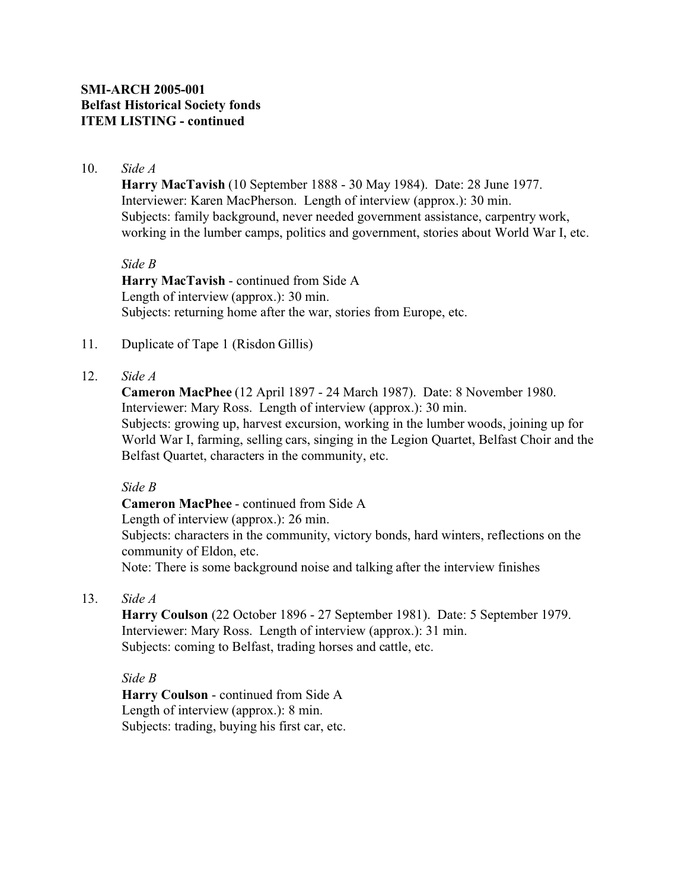**Harry MacTavish** (10 September 1888 - 30 May 1984). Date: 28 June 1977. Interviewer: Karen MacPherson. Length of interview (approx.): 30 min. Subjects: family background, never needed government assistance, carpentry work, working in the lumber camps, politics and government, stories about World War I, etc.

#### *Side B*

**Harry MacTavish** - continued from Side A Length of interview (approx.): 30 min. Subjects: returning home after the war, stories from Europe, etc.

### 11. Duplicate of Tape 1 (Risdon Gillis)

### 12. *Side A*

**Cameron MacPhee** (12 April 1897 - 24 March 1987). Date: 8 November 1980. Interviewer: Mary Ross. Length of interview (approx.): 30 min. Subjects: growing up, harvest excursion, working in the lumber woods, joining up for World War I, farming, selling cars, singing in the Legion Quartet, Belfast Choir and the Belfast Quartet, characters in the community, etc.

### *Side B*

**Cameron MacPhee** - continued from Side A Length of interview (approx.): 26 min. Subjects: characters in the community, victory bonds, hard winters, reflections on the community of Eldon, etc. Note: There is some background noise and talking after the interview finishes

## 13. *Side A*

**Harry Coulson** (22 October 1896 - 27 September 1981). Date: 5 September 1979. Interviewer: Mary Ross. Length of interview (approx.): 31 min. Subjects: coming to Belfast, trading horses and cattle, etc.

#### *Side B*

**Harry Coulson** - continued from Side A Length of interview (approx.): 8 min. Subjects: trading, buying his first car, etc.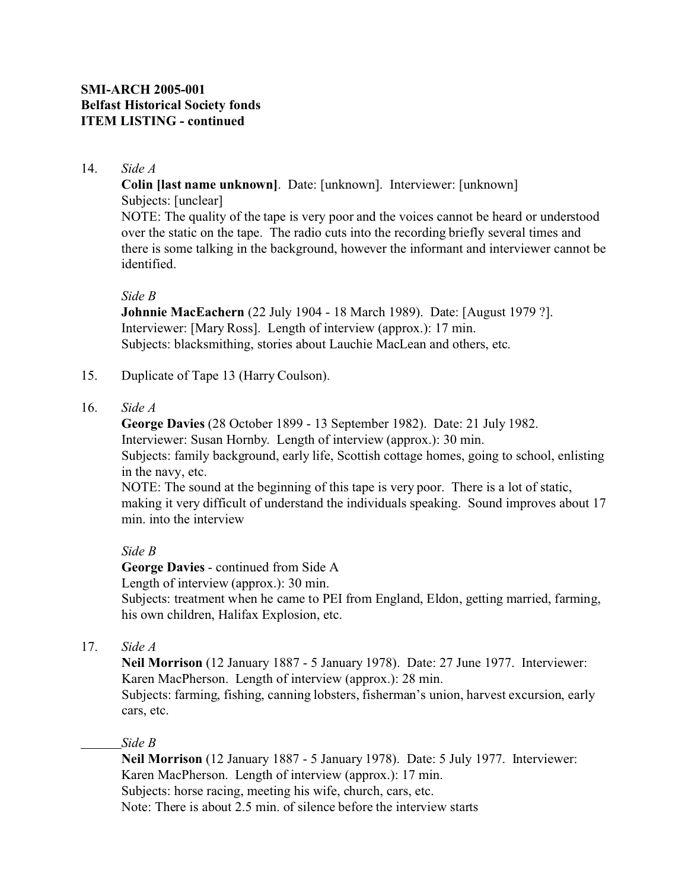# **SMI-ARCH 2005-001 Belfast Historical Society fonds ITEM LISTING - continued**

### 14. *Side A*

**Colin [last name unknown]**. Date: [unknown]. Interviewer: [unknown] Subjects: [unclear]

NOTE: The quality of the tape is very poor and the voices cannot be heard or understood over the static on the tape. The radio cuts into the recording briefly several times and there is some talking in the background, however the informant and interviewer cannot be identified.

### *Side B*

**Johnnie MacEachern** (22 July 1904 - 18 March 1989). Date: [August 1979 ?]. Interviewer: [Mary Ross]. Length of interview (approx.): 17 min. Subjects: blacksmithing, stories about Lauchie MacLean and others, etc.

- 15. Duplicate of Tape 13 (Harry Coulson).
- 16. *Side A*

**George Davies** (28 October 1899 - 13 September 1982). Date: 21 July 1982. Interviewer: Susan Hornby. Length of interview (approx.): 30 min.

Subjects: family background, early life, Scottish cottage homes, going to school, enlisting in the navy, etc.

NOTE: The sound at the beginning of this tape is very poor. There is a lot of static, making it very difficult of understand the individuals speaking. Sound improves about 17 min. into the interview

## *Side B*

**George Davies** - continued from Side A Length of interview (approx.): 30 min. Subjects: treatment when he came to PEI from England, Eldon, getting married, farming, his own children, Halifax Explosion, etc.

17. *Side A*

**Neil Morrison** (12 January 1887 - 5 January 1978). Date: 27 June 1977. Interviewer: Karen MacPherson. Length of interview (approx.): 28 min. Subjects: farming, fishing, canning lobsters, fisherman's union, harvest excursion, early cars, etc.

*Side B*

**Neil Morrison** (12 January 1887 - 5 January 1978). Date: 5 July 1977. Interviewer: Karen MacPherson. Length of interview (approx.): 17 min. Subjects: horse racing, meeting his wife, church, cars, etc. Note: There is about 2.5 min. of silence before the interview starts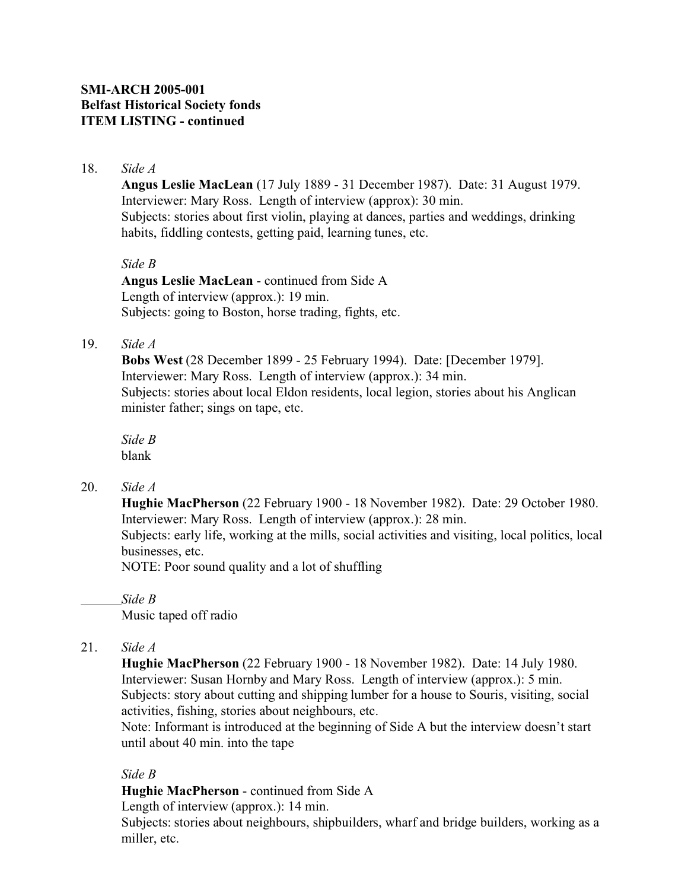**Angus Leslie MacLean** (17 July 1889 - 31 December 1987). Date: 31 August 1979. Interviewer: Mary Ross. Length of interview (approx): 30 min. Subjects: stories about first violin, playing at dances, parties and weddings, drinking habits, fiddling contests, getting paid, learning tunes, etc.

### *Side B*

**Angus Leslie MacLean** - continued from Side A Length of interview (approx.): 19 min. Subjects: going to Boston, horse trading, fights, etc.

## 19. *Side A*

**Bobs West** (28 December 1899 - 25 February 1994). Date: [December 1979]. Interviewer: Mary Ross. Length of interview (approx.): 34 min. Subjects: stories about local Eldon residents, local legion, stories about his Anglican minister father; sings on tape, etc.

*Side B* blank

20. *Side A*

**Hughie MacPherson** (22 February 1900 - 18 November 1982). Date: 29 October 1980. Interviewer: Mary Ross. Length of interview (approx.): 28 min.

Subjects: early life, working at the mills, social activities and visiting, local politics, local businesses, etc.

NOTE: Poor sound quality and a lot of shuffling

*Side B*

Music taped off radio

21. *Side A*

**Hughie MacPherson** (22 February 1900 - 18 November 1982). Date: 14 July 1980. Interviewer: Susan Hornby and Mary Ross. Length of interview (approx.): 5 min. Subjects: story about cutting and shipping lumber for a house to Souris, visiting, social activities, fishing, stories about neighbours, etc.

Note: Informant is introduced at the beginning of Side A but the interview doesn't start until about 40 min. into the tape

## *Side B*

**Hughie MacPherson** - continued from Side A

Length of interview (approx.): 14 min.

Subjects: stories about neighbours, shipbuilders, wharf and bridge builders, working as a miller, etc.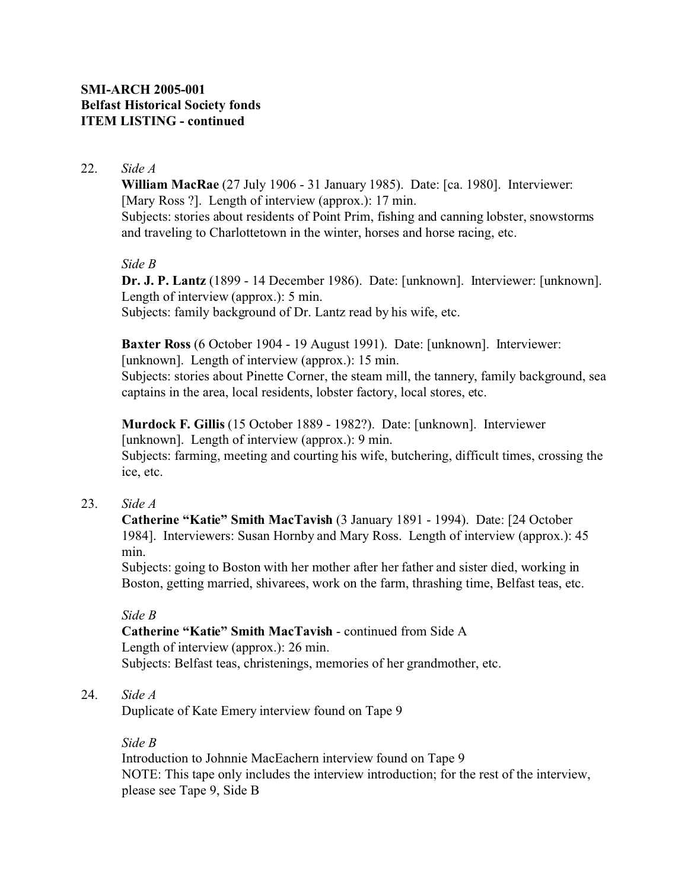**William MacRae** (27 July 1906 - 31 January 1985). Date: [ca. 1980]. Interviewer: [Mary Ross ?]. Length of interview (approx.): 17 min. Subjects: stories about residents of Point Prim, fishing and canning lobster, snowstorms and traveling to Charlottetown in the winter, horses and horse racing, etc.

### *Side B*

**Dr. J. P. Lantz** (1899 - 14 December 1986). Date: [unknown]. Interviewer: [unknown]. Length of interview (approx.): 5 min. Subjects: family background of Dr. Lantz read by his wife, etc.

**Baxter Ross** (6 October 1904 - 19 August 1991). Date: [unknown]. Interviewer: [unknown]. Length of interview (approx.): 15 min. Subjects: stories about Pinette Corner, the steam mill, the tannery, family background, sea captains in the area, local residents, lobster factory, local stores, etc.

**Murdock F. Gillis** (15 October 1889 - 1982?). Date: [unknown]. Interviewer [unknown]. Length of interview (approx.): 9 min. Subjects: farming, meeting and courting his wife, butchering, difficult times, crossing the ice, etc.

## 23. *Side A*

**Catherine "Katie" Smith MacTavish** (3 January 1891 - 1994). Date: [24 October 1984]. Interviewers: Susan Hornby and Mary Ross. Length of interview (approx.): 45 min.

Subjects: going to Boston with her mother after her father and sister died, working in Boston, getting married, shivarees, work on the farm, thrashing time, Belfast teas, etc.

#### *Side B*

**Catherine "Katie" Smith MacTavish** - continued from Side A Length of interview (approx.): 26 min. Subjects: Belfast teas, christenings, memories of her grandmother, etc.

#### 24. *Side A*

Duplicate of Kate Emery interview found on Tape 9

#### *Side B*

Introduction to Johnnie MacEachern interview found on Tape 9 NOTE: This tape only includes the interview introduction; for the rest of the interview, please see Tape 9, Side B